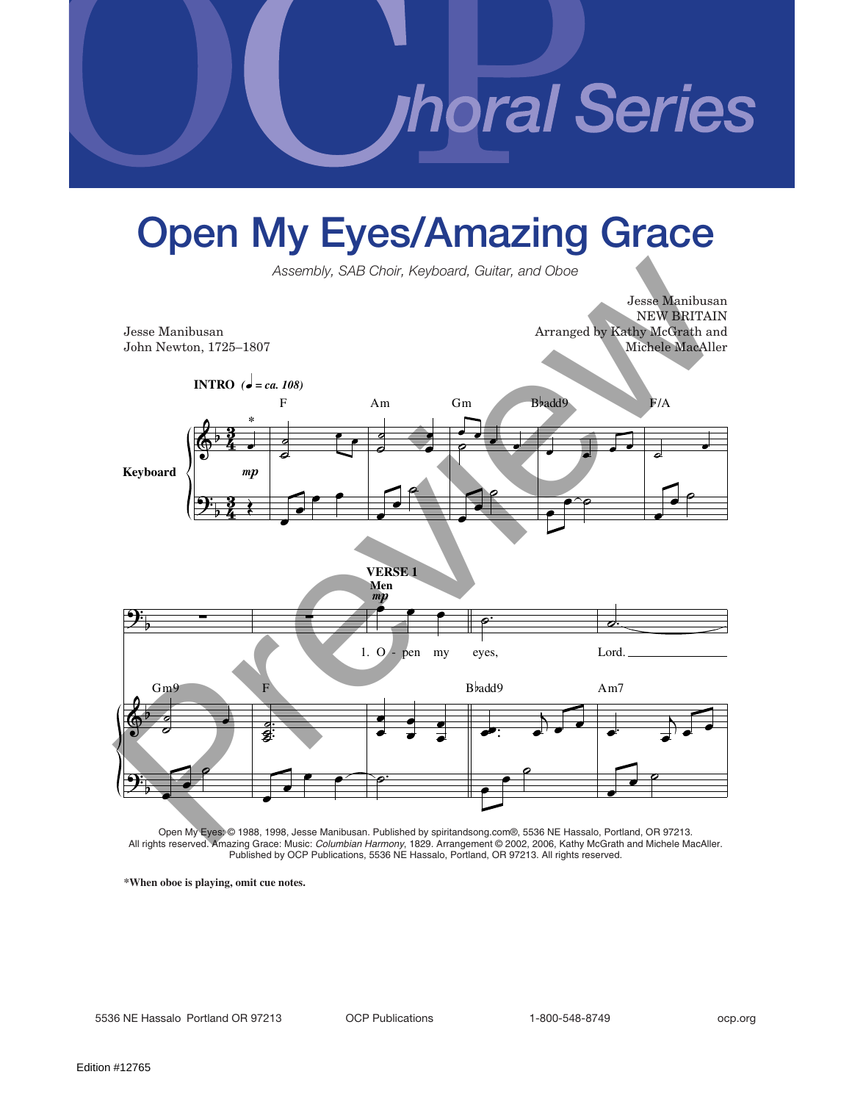**noral Series** 

## **Open My Eyes/Amazing Grace**

*Assembly, SAB Choir, Keyboard, Guitar, and Oboe*

Jesse Manibusan NEW BRITAIN Jesse Manibusan Arranged by Kathy McGrath and John Newton, 1725–1807 Michele MacAller







Open My Eyes: © 1988, 1998, Jesse Manibusan. Published by spiritandsong.com®, 5536 NE Hassalo, Portland, OR 97213. All rights reserved. Amazing Grace: Music: *Columbian Harmony*, 1829. Arrangement © 2002, 2006, Kathy McGrath and Michele MacAller. Published by OCP Publications, 5536 NE Hassalo, Portland, OR 97213. All rights reserved.

**\*When oboe is playing, omit cue notes.**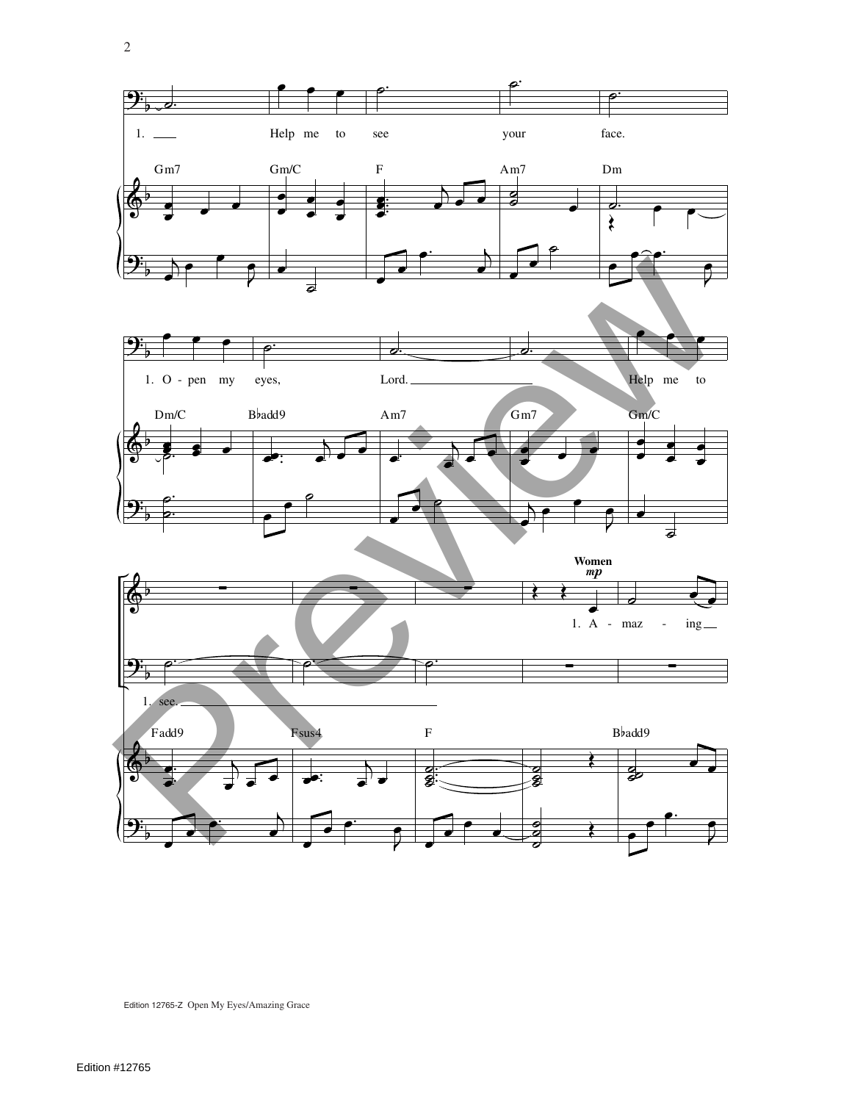

Edition 12765-Z Open My Eyes/Amazing Grace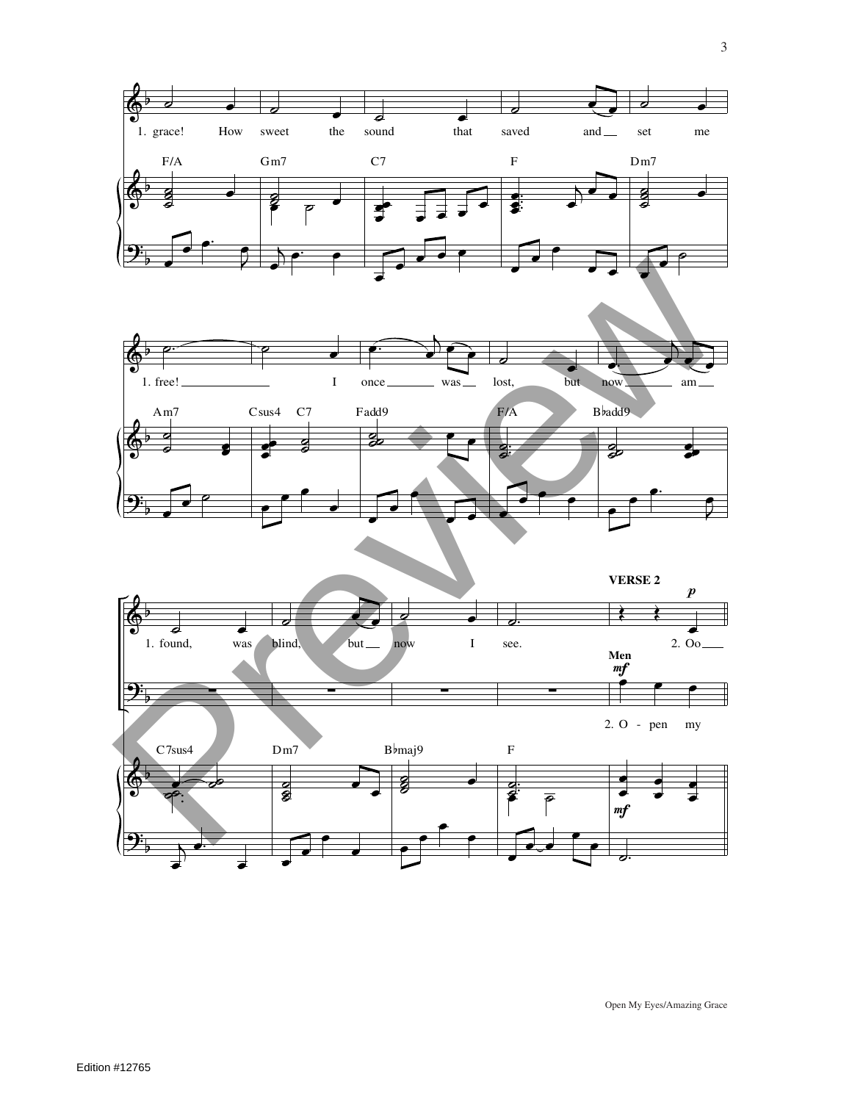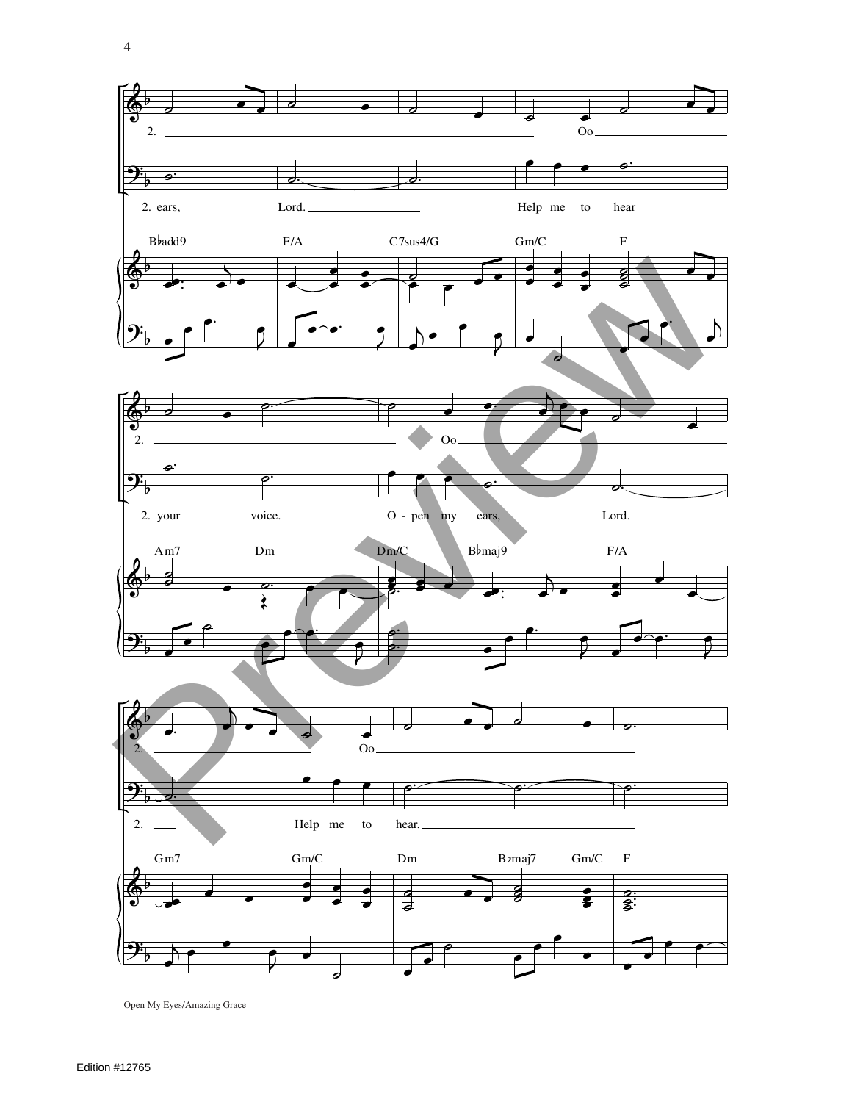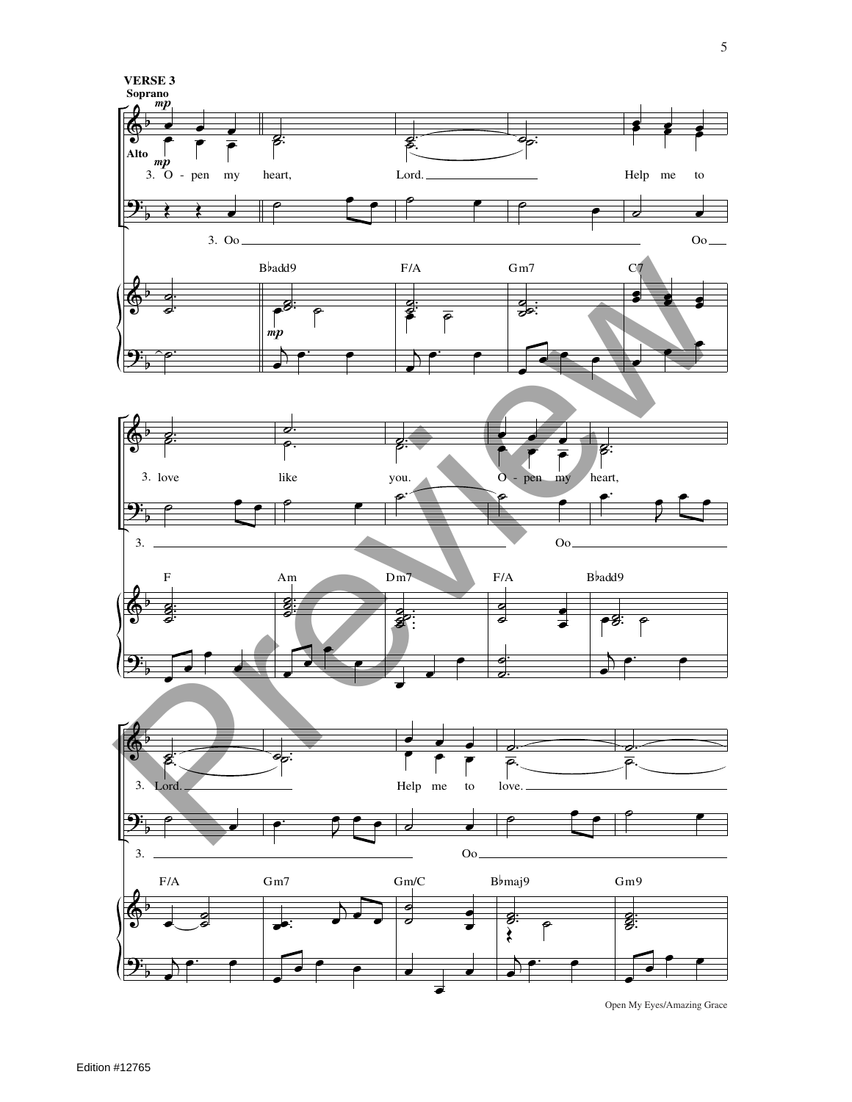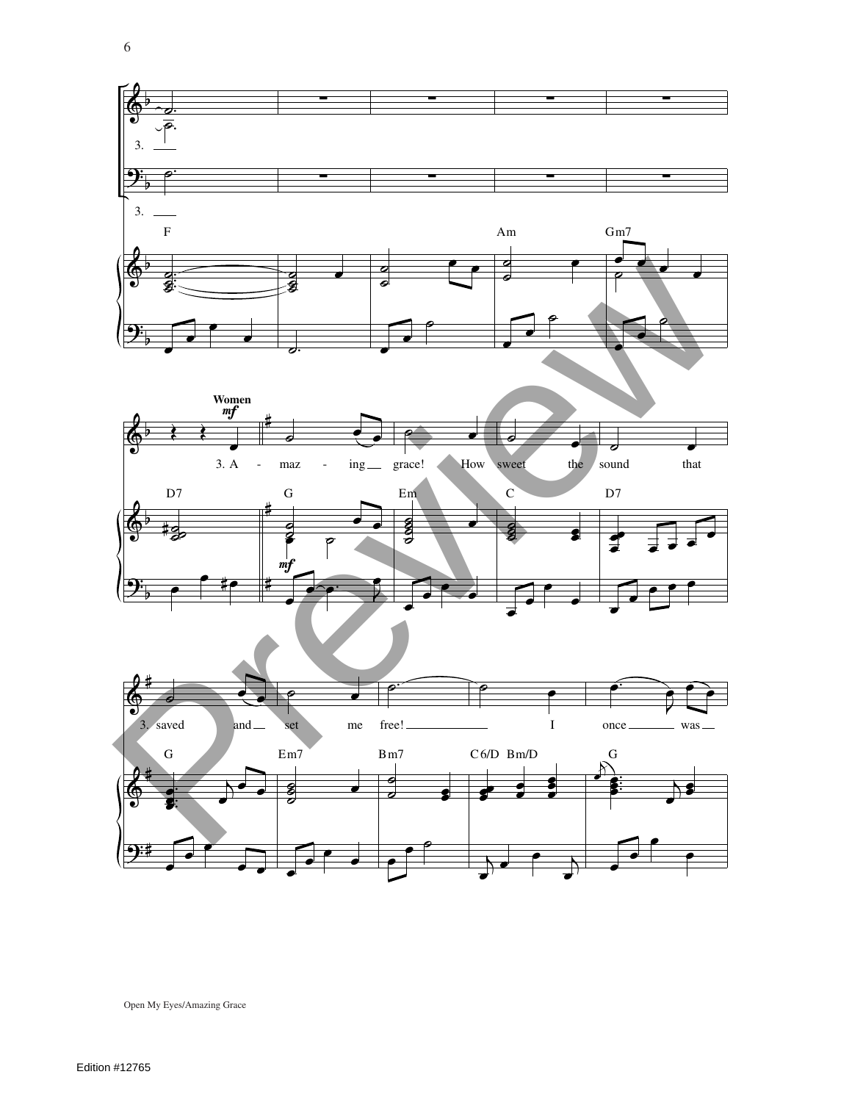

Open My Eyes/Amazing Grace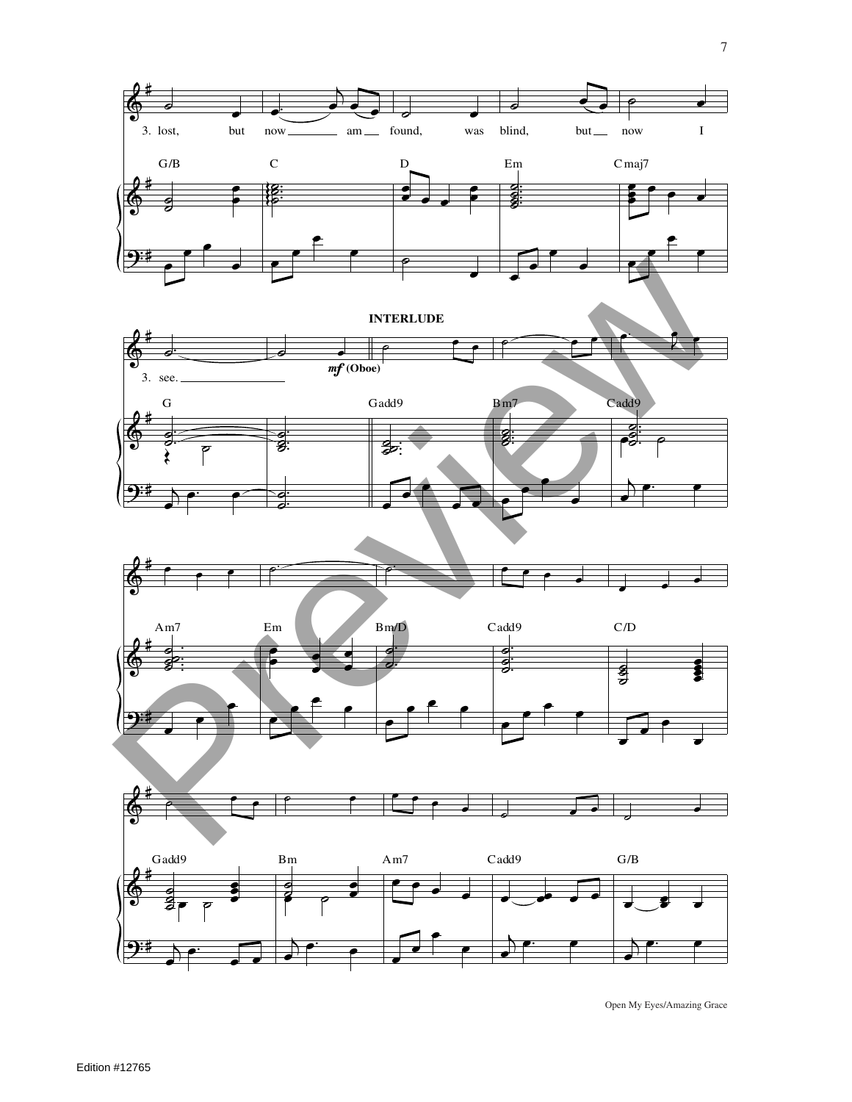

**INTERLUDE**





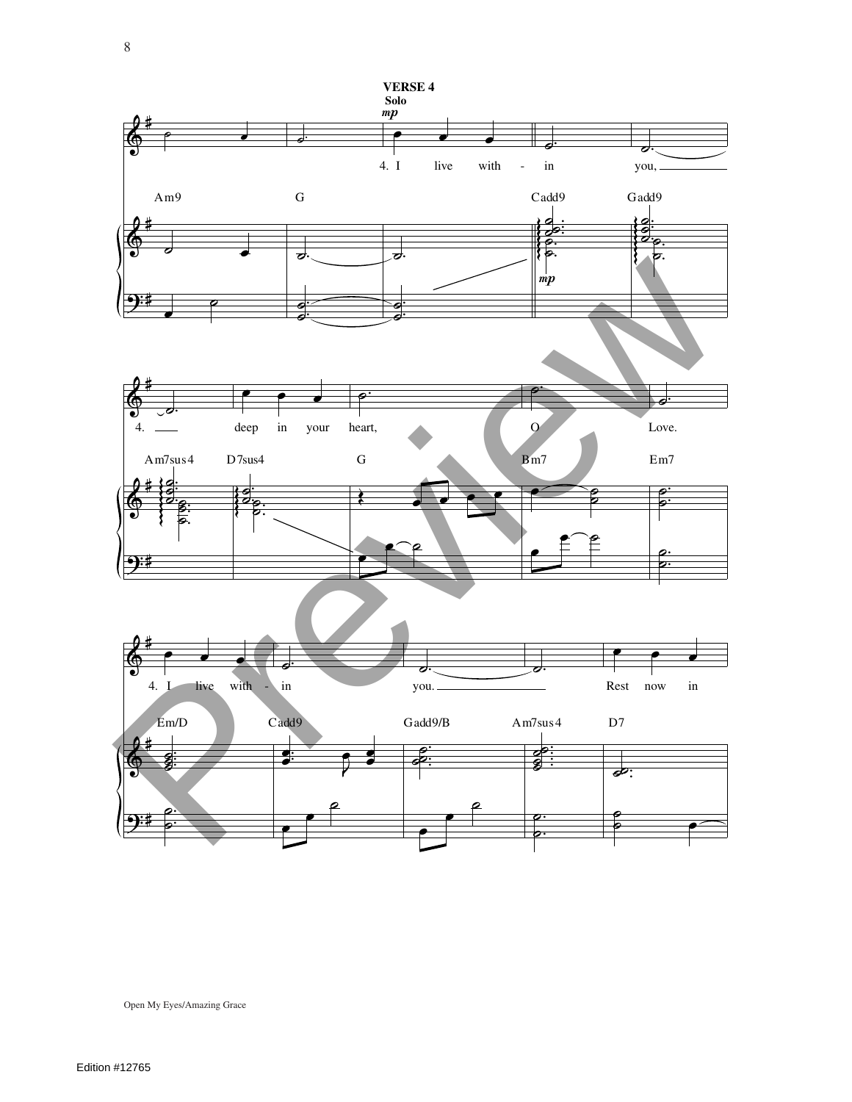![](_page_7_Figure_0.jpeg)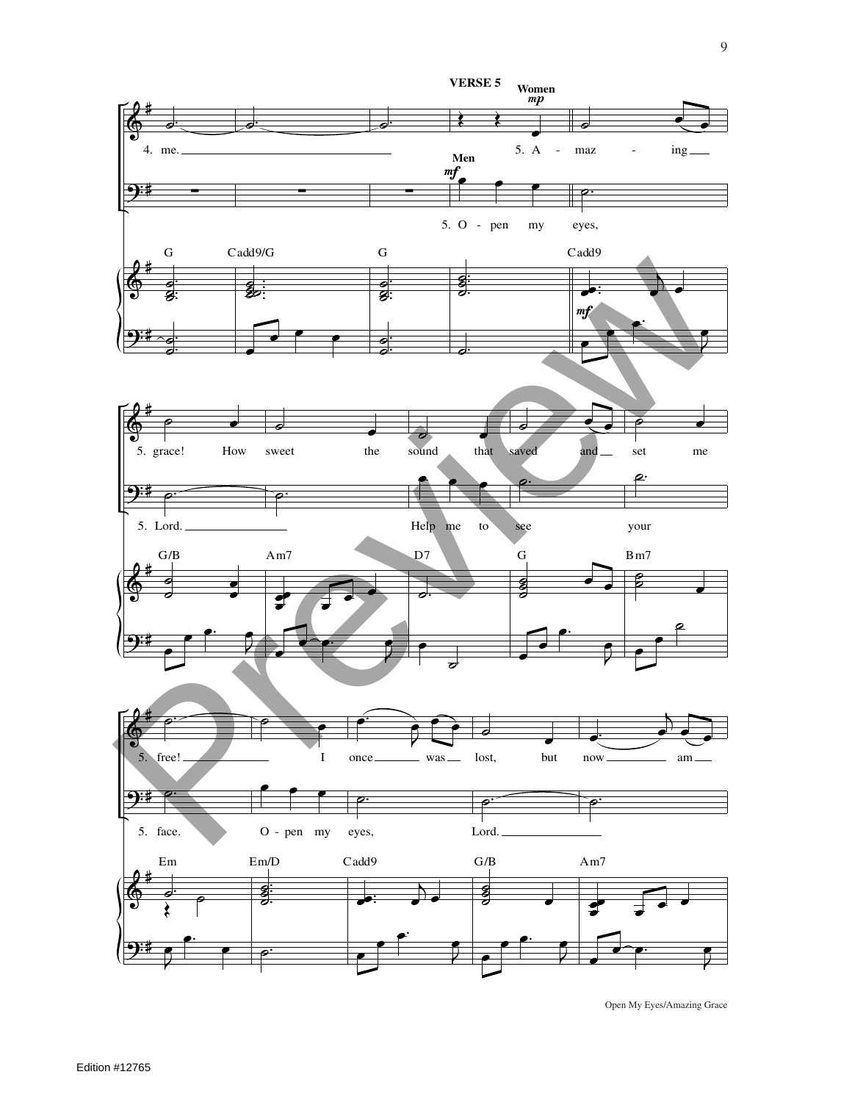![](_page_8_Figure_0.jpeg)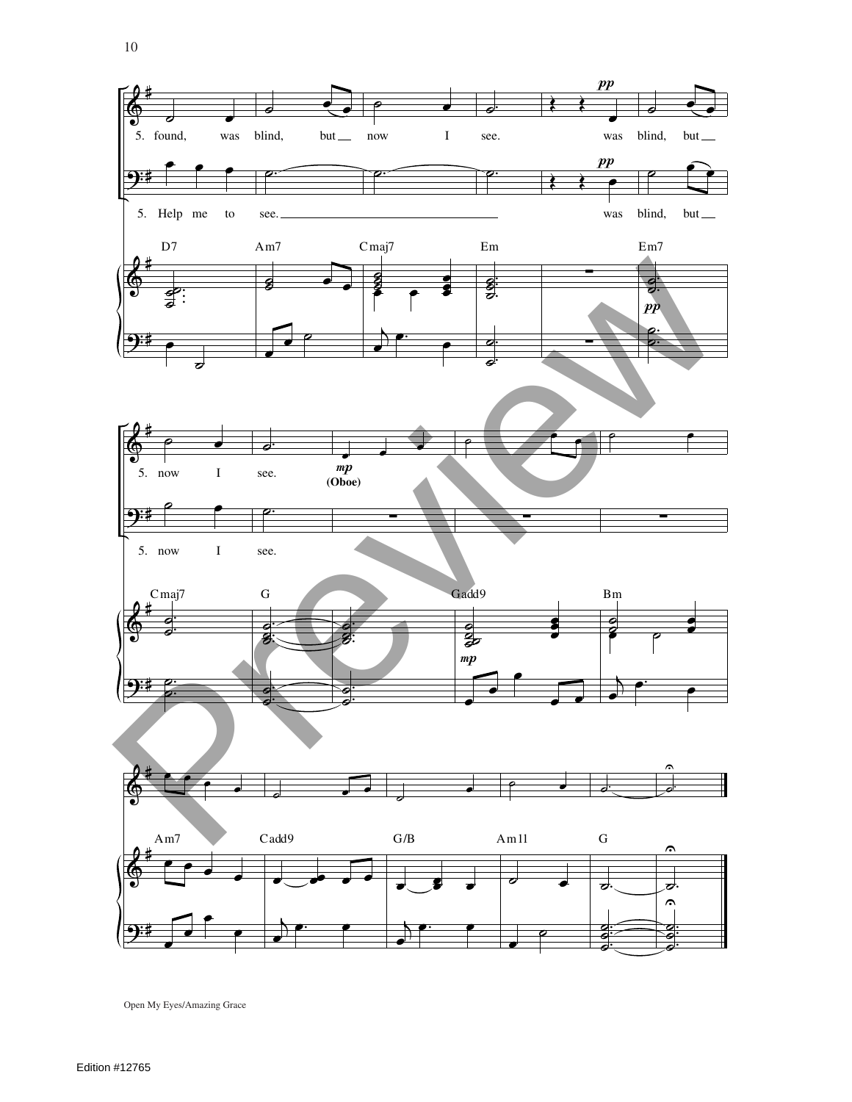![](_page_9_Figure_0.jpeg)

10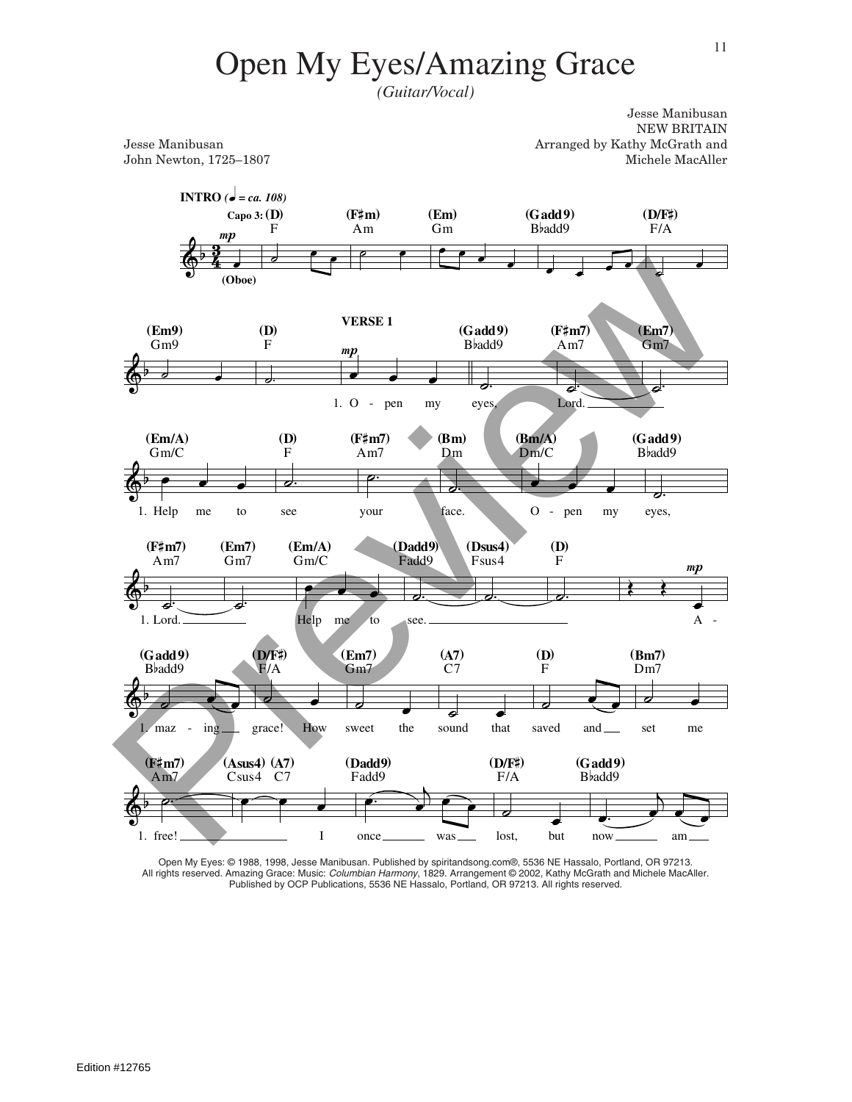*(Guitar/Vocal)*

Jesse Manibusan NEW BRITAIN Jesse Manibusan Arranged by Kathy McGrath and John Newton, 1725–1807 Michele MacAller

![](_page_10_Figure_4.jpeg)

Open My Eyes: © 1988, 1998, Jesse Manibusan. Published by spiritandsong.com®, 5536 NE Hassalo, Portland, OR 97213. All rights reserved. Amazing Grace: Music: Columbian Harmony, 1829. Arrangement © 2002, Kathy McGrath and Michele MacAller. Published by OCP Publications, 5536 NE Hassalo, Portland, OR 97213. All rights reserved.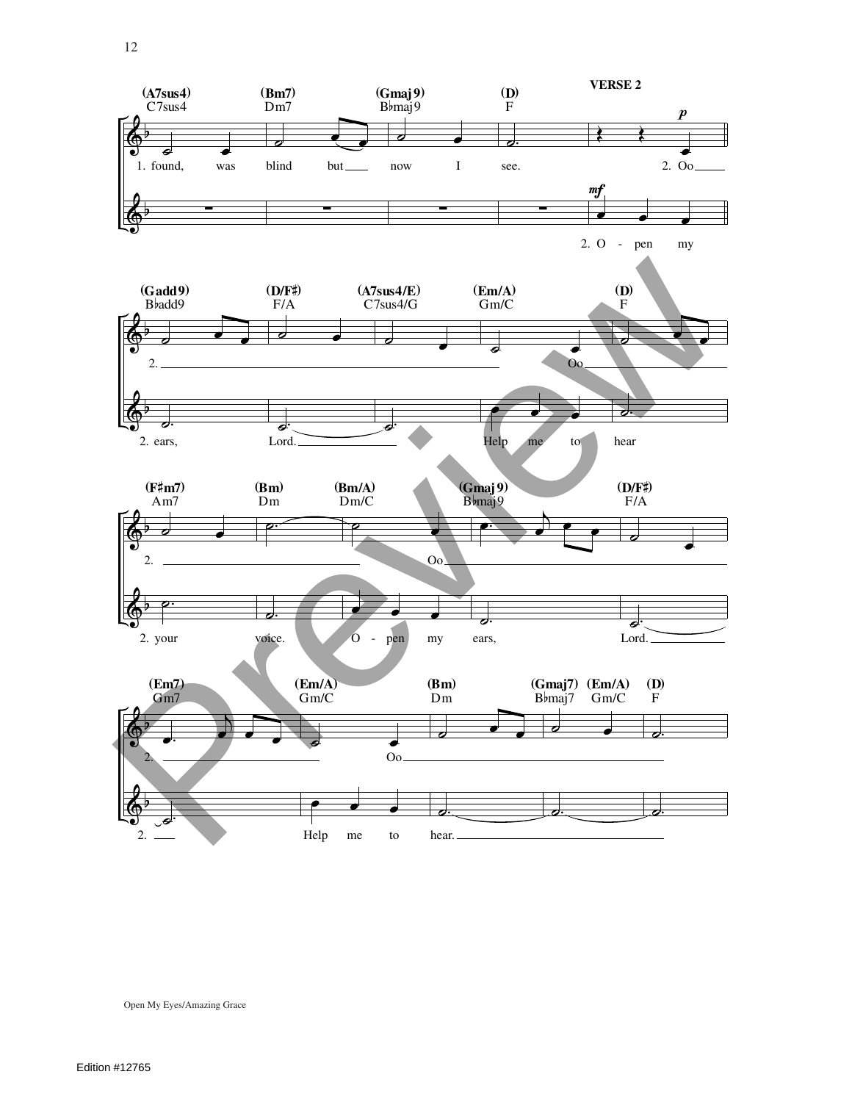![](_page_11_Figure_0.jpeg)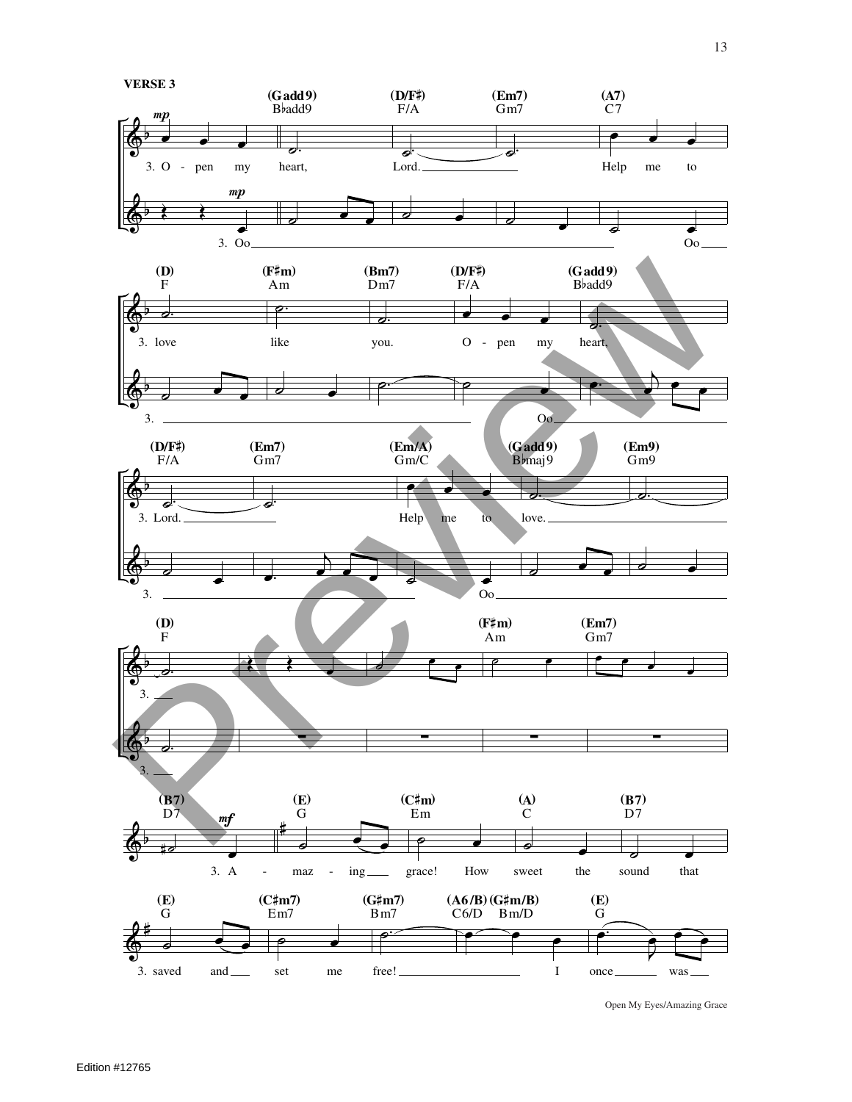![](_page_12_Figure_0.jpeg)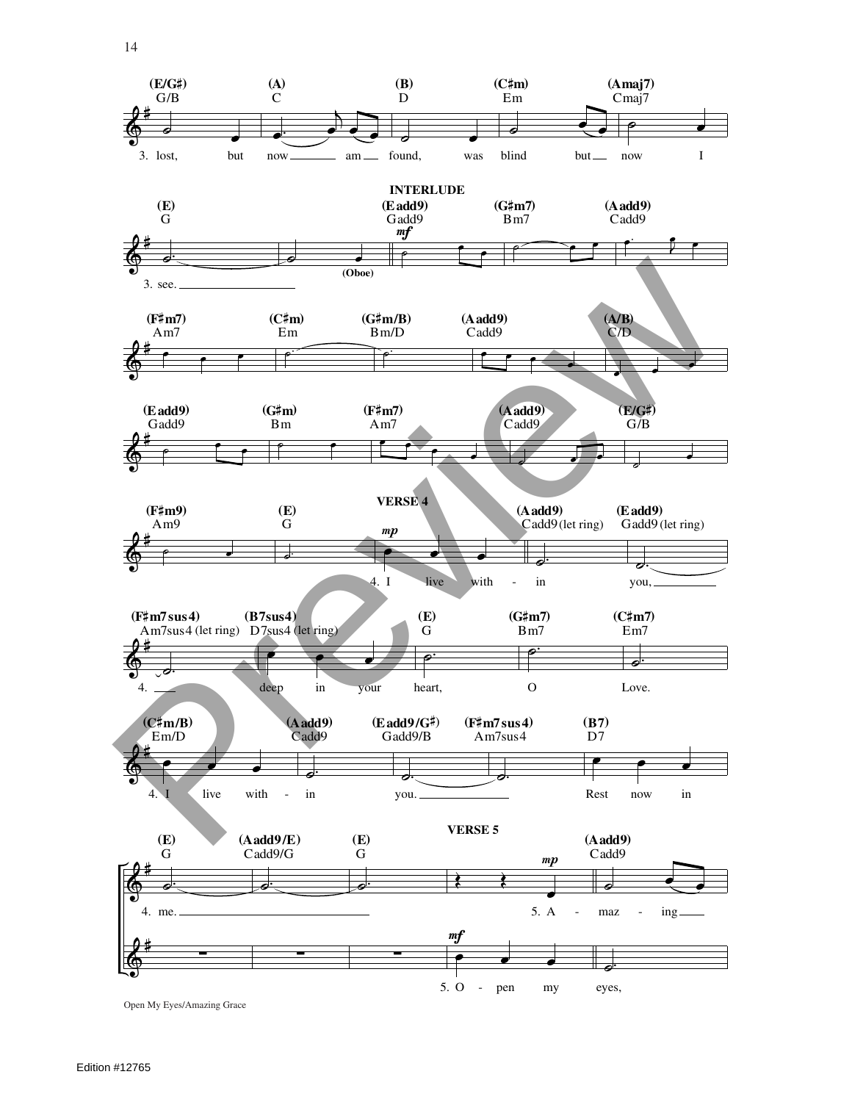![](_page_13_Figure_0.jpeg)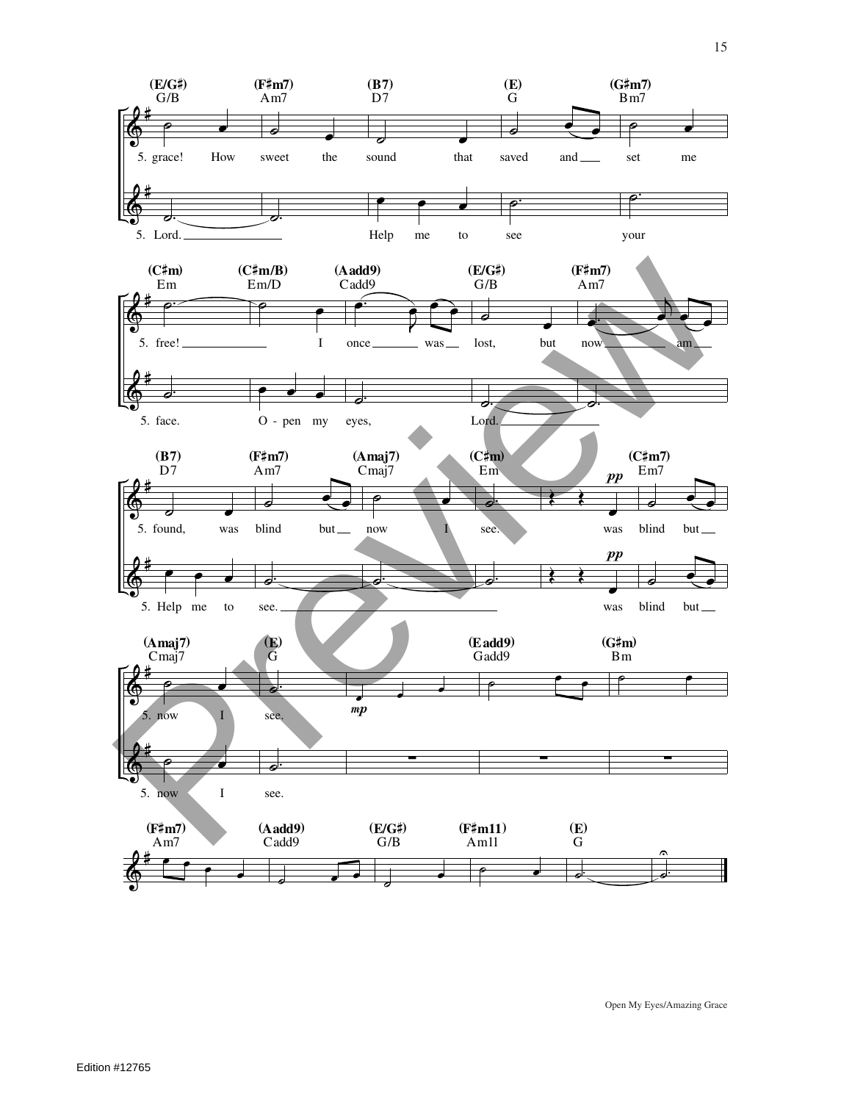![](_page_14_Figure_0.jpeg)

15